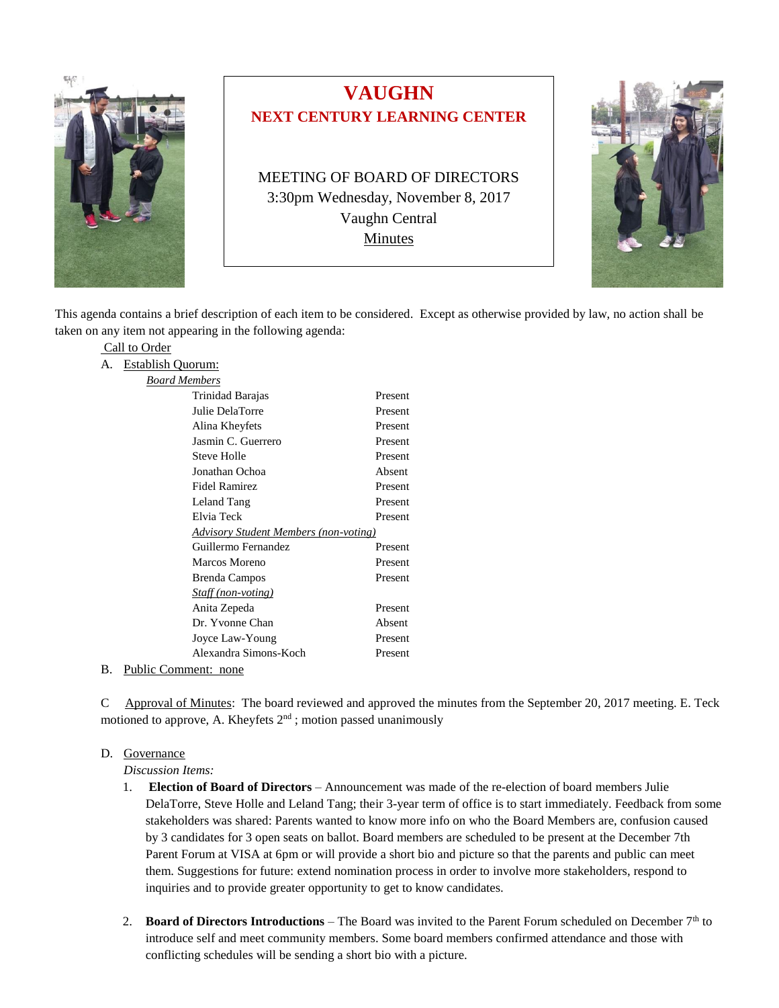

# **VAUGHN NEXT CENTURY LEARNING CENTER**

MEETING OF BOARD OF DIRECTORS 3:30pm Wednesday, November 8, 2017 Vaughn Central Minutes



This agenda contains a brief description of each item to be considered. Except as otherwise provided by law, no action shall be taken on any item not appearing in the following agenda:

Present

|                      | Call to Order            |  |  |
|----------------------|--------------------------|--|--|
| А.                   | <b>Establish Quorum:</b> |  |  |
| <b>Board Members</b> |                          |  |  |
|                      | Trinidad Barajas         |  |  |
|                      | Julie DelaTorre          |  |  |
|                      | Alina Kheyfets           |  |  |
|                      | Jasmin C. Guerrero       |  |  |
|                      | <b>Steve Holle</b>       |  |  |
|                      | Jonathan Ochoa           |  |  |
|                      | <b>Fidel Ramirez</b>     |  |  |

|    |                                              | Julie DelaTorre       | Present |  |
|----|----------------------------------------------|-----------------------|---------|--|
|    |                                              | Alina Kheyfets        | Present |  |
|    |                                              | Jasmin C. Guerrero    | Present |  |
|    |                                              | Steve Holle           | Present |  |
|    |                                              | Jonathan Ochoa        | Absent  |  |
|    |                                              | Fidel Ramirez         | Present |  |
|    |                                              | Leland Tang           | Present |  |
|    |                                              | Elvia Teck            | Present |  |
|    | <b>Advisory Student Members (non-voting)</b> |                       |         |  |
|    |                                              | Guillermo Fernandez   | Present |  |
|    |                                              | Marcos Moreno         | Present |  |
|    |                                              | <b>Brenda Campos</b>  | Present |  |
|    |                                              | Staff (non-voting)    |         |  |
|    |                                              | Anita Zepeda          | Present |  |
|    |                                              | Dr. Yvonne Chan       | Absent  |  |
|    |                                              | Joyce Law-Young       | Present |  |
|    |                                              | Alexandra Simons-Koch | Present |  |
| B. | Public Comment: none                         |                       |         |  |

C Approval of Minutes: The board reviewed and approved the minutes from the September 20, 2017 meeting. E. Teck motioned to approve, A. Kheyfets  $2<sup>nd</sup>$ ; motion passed unanimously

# D. Governance

*Discussion Items:*

- 1. **Election of Board of Directors** Announcement was made of the re-election of board members Julie DelaTorre, Steve Holle and Leland Tang; their 3-year term of office is to start immediately. Feedback from some stakeholders was shared: Parents wanted to know more info on who the Board Members are, confusion caused by 3 candidates for 3 open seats on ballot. Board members are scheduled to be present at the December 7th Parent Forum at VISA at 6pm or will provide a short bio and picture so that the parents and public can meet them. Suggestions for future: extend nomination process in order to involve more stakeholders, respond to inquiries and to provide greater opportunity to get to know candidates.
- 2. **Board of Directors Introductions** The Board was invited to the Parent Forum scheduled on December  $7<sup>th</sup>$  to introduce self and meet community members. Some board members confirmed attendance and those with conflicting schedules will be sending a short bio with a picture.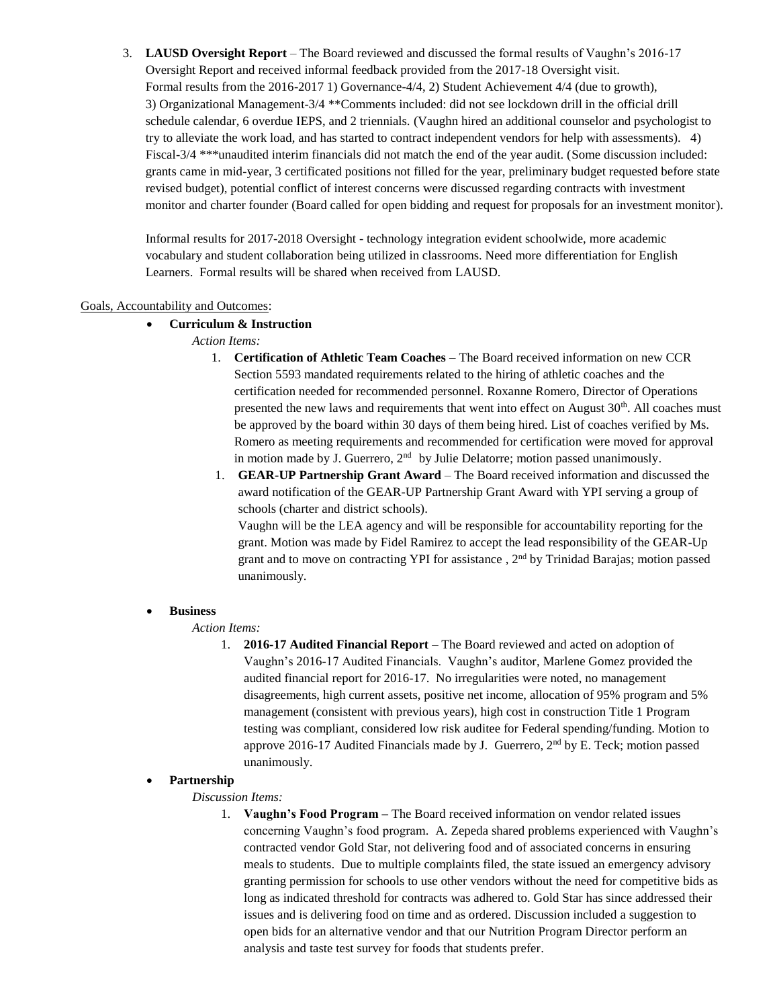3. **LAUSD Oversight Report** – The Board reviewed and discussed the formal results of Vaughn's 2016-17 Oversight Report and received informal feedback provided from the 2017-18 Oversight visit. Formal results from the 2016-2017 1) Governance-4/4, 2) Student Achievement 4/4 (due to growth), 3) Organizational Management-3/4 \*\*Comments included: did not see lockdown drill in the official drill schedule calendar, 6 overdue IEPS, and 2 triennials. (Vaughn hired an additional counselor and psychologist to try to alleviate the work load, and has started to contract independent vendors for help with assessments). 4) Fiscal-3/4 \*\*\*unaudited interim financials did not match the end of the year audit. (Some discussion included: grants came in mid-year, 3 certificated positions not filled for the year, preliminary budget requested before state revised budget), potential conflict of interest concerns were discussed regarding contracts with investment monitor and charter founder (Board called for open bidding and request for proposals for an investment monitor).

Informal results for 2017-2018 Oversight - technology integration evident schoolwide, more academic vocabulary and student collaboration being utilized in classrooms. Need more differentiation for English Learners. Formal results will be shared when received from LAUSD.

## Goals, Accountability and Outcomes:

## • **Curriculum & Instruction**

- *Action Items:*
	- 1. **Certification of Athletic Team Coaches** The Board received information on new CCR Section 5593 mandated requirements related to the hiring of athletic coaches and the certification needed for recommended personnel. Roxanne Romero, Director of Operations presented the new laws and requirements that went into effect on August 30<sup>th</sup>. All coaches must be approved by the board within 30 days of them being hired. List of coaches verified by Ms. Romero as meeting requirements and recommended for certification were moved for approval in motion made by J. Guerrero,  $2<sup>nd</sup>$  by Julie Delatorre; motion passed unanimously.
	- 1. **GEAR-UP Partnership Grant Award** The Board received information and discussed the award notification of the GEAR-UP Partnership Grant Award with YPI serving a group of schools (charter and district schools).

Vaughn will be the LEA agency and will be responsible for accountability reporting for the grant. Motion was made by Fidel Ramirez to accept the lead responsibility of the GEAR-Up grant and to move on contracting YPI for assistance , 2nd by Trinidad Barajas; motion passed unanimously.

# • **Business**

### *Action Items:*

1. **2016-17 Audited Financial Report** – The Board reviewed and acted on adoption of Vaughn's 2016-17 Audited Financials. Vaughn's auditor, Marlene Gomez provided the audited financial report for 2016-17. No irregularities were noted, no management disagreements, high current assets, positive net income, allocation of 95% program and 5% management (consistent with previous years), high cost in construction Title 1 Program testing was compliant, considered low risk auditee for Federal spending/funding. Motion to approve 2016-17 Audited Financials made by J. Guerrero,  $2<sup>nd</sup>$  by E. Teck; motion passed unanimously.

# • **Partnership**

### *Discussion Items:*

1. **Vaughn's Food Program –** The Board received information on vendor related issues concerning Vaughn's food program. A. Zepeda shared problems experienced with Vaughn's contracted vendor Gold Star, not delivering food and of associated concerns in ensuring meals to students. Due to multiple complaints filed, the state issued an emergency advisory granting permission for schools to use other vendors without the need for competitive bids as long as indicated threshold for contracts was adhered to. Gold Star has since addressed their issues and is delivering food on time and as ordered. Discussion included a suggestion to open bids for an alternative vendor and that our Nutrition Program Director perform an analysis and taste test survey for foods that students prefer.